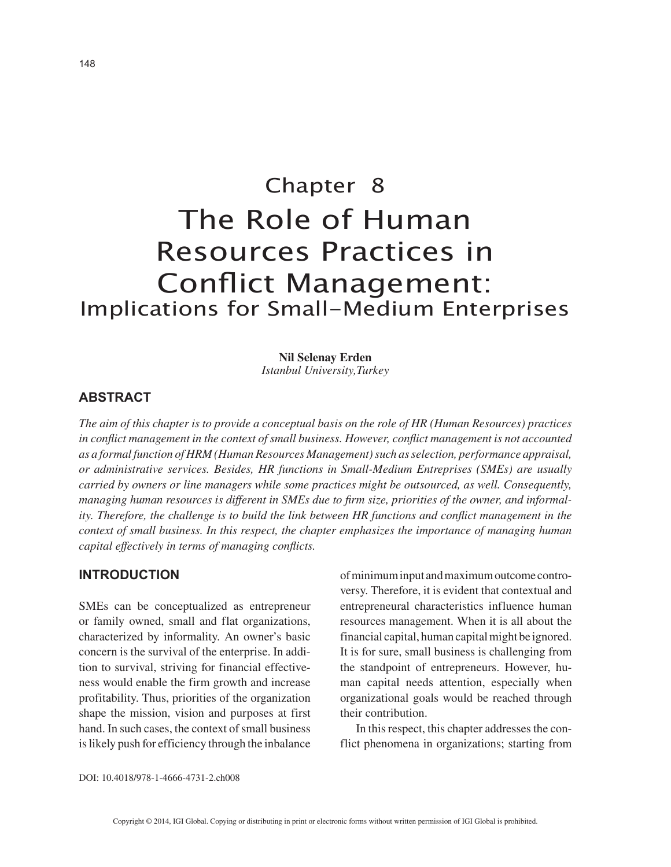# Chapter 8 The Role of Human Resources Practices in Conflict Management: Implications for Small-Medium Enterprises

**Nil Selenay Erden**

*Istanbul University,Turkey*

# **ABSTRACT**

*The aim of this chapter is to provide a conceptual basis on the role of HR (Human Resources) practices in conflict management in the context of small business. However, conflict management is not accounted as a formal function of HRM (Human Resources Management) such as selection, performance appraisal, or administrative services. Besides, HR functions in Small-Medium Entreprises (SMEs) are usually carried by owners or line managers while some practices might be outsourced, as well. Consequently, managing human resources is different in SMEs due to firm size, priorities of the owner, and informality. Therefore, the challenge is to build the link between HR functions and conflict management in the context of small business. In this respect, the chapter emphasizes the importance of managing human capital effectively in terms of managing conflicts.*

### **INTRODUCTION**

SMEs can be conceptualized as entrepreneur or family owned, small and flat organizations, characterized by informality. An owner's basic concern is the survival of the enterprise. In addition to survival, striving for financial effectiveness would enable the firm growth and increase profitability. Thus, priorities of the organization shape the mission, vision and purposes at first hand. In such cases, the context of small business is likely push for efficiency through the inbalance of minimum input and maximum outcome controversy. Therefore, it is evident that contextual and entrepreneural characteristics influence human resources management. When it is all about the financial capital, human capital might be ignored. It is for sure, small business is challenging from the standpoint of entrepreneurs. However, human capital needs attention, especially when organizational goals would be reached through their contribution.

In this respect, this chapter addresses the conflict phenomena in organizations; starting from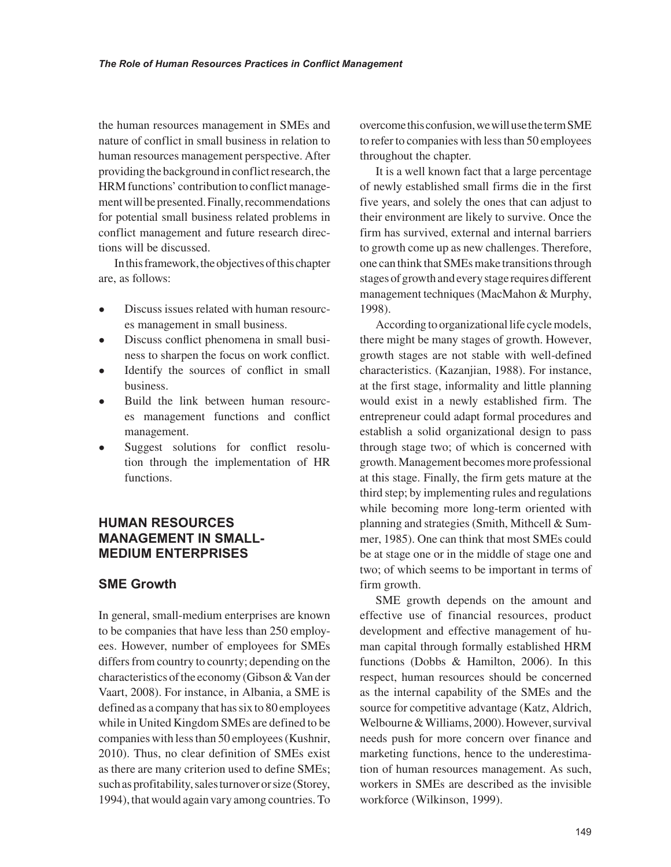the human resources management in SMEs and nature of conflict in small business in relation to human resources management perspective. After providing the background in conflict research, the HRM functions' contribution to conflict management will be presented. Finally, recommendations for potential small business related problems in conflict management and future research directions will be discussed.

In this framework, the objectives of this chapter are, as follows:

- Discuss issues related with human resources management in small business.
- Discuss conflict phenomena in small business to sharpen the focus on work conflict.
- Identify the sources of conflict in small business.
- Build the link between human resources management functions and conflict management.
- Suggest solutions for conflict resolution through the implementation of HR functions.

## **HUMAN RESOURCES MANAGEMENT IN SMALL-MEDIUM ENTERPRISES**

## **SME Growth**

In general, small-medium enterprises are known to be companies that have less than 250 employees. However, number of employees for SMEs differs from country to counrty; depending on the characteristics of the economy (Gibson & Van der Vaart, 2008). For instance, in Albania, a SME is defined as a company that has six to 80 employees while in United Kingdom SMEs are defined to be companies with less than 50 employees (Kushnir, 2010). Thus, no clear definition of SMEs exist as there are many criterion used to define SMEs; such as profitability, sales turnover or size (Storey, 1994), that would again vary among countries. To overcome this confusion, we will use the term SME to refer to companies with less than 50 employees throughout the chapter.

It is a well known fact that a large percentage of newly established small firms die in the first five years, and solely the ones that can adjust to their environment are likely to survive. Once the firm has survived, external and internal barriers to growth come up as new challenges. Therefore, one can think that SMEs make transitions through stages of growth and every stage requires different management techniques (MacMahon & Murphy, 1998).

According to organizational life cycle models, there might be many stages of growth. However, growth stages are not stable with well-defined characteristics. (Kazanjian, 1988). For instance, at the first stage, informality and little planning would exist in a newly established firm. The entrepreneur could adapt formal procedures and establish a solid organizational design to pass through stage two; of which is concerned with growth. Management becomes more professional at this stage. Finally, the firm gets mature at the third step; by implementing rules and regulations while becoming more long-term oriented with planning and strategies (Smith, Mithcell & Summer, 1985). One can think that most SMEs could be at stage one or in the middle of stage one and two; of which seems to be important in terms of firm growth.

SME growth depends on the amount and effective use of financial resources, product development and effective management of human capital through formally established HRM functions (Dobbs & Hamilton, 2006). In this respect, human resources should be concerned as the internal capability of the SMEs and the source for competitive advantage (Katz, Aldrich, Welbourne & Williams, 2000). However, survival needs push for more concern over finance and marketing functions, hence to the underestimation of human resources management. As such, workers in SMEs are described as the invisible workforce (Wilkinson, 1999).